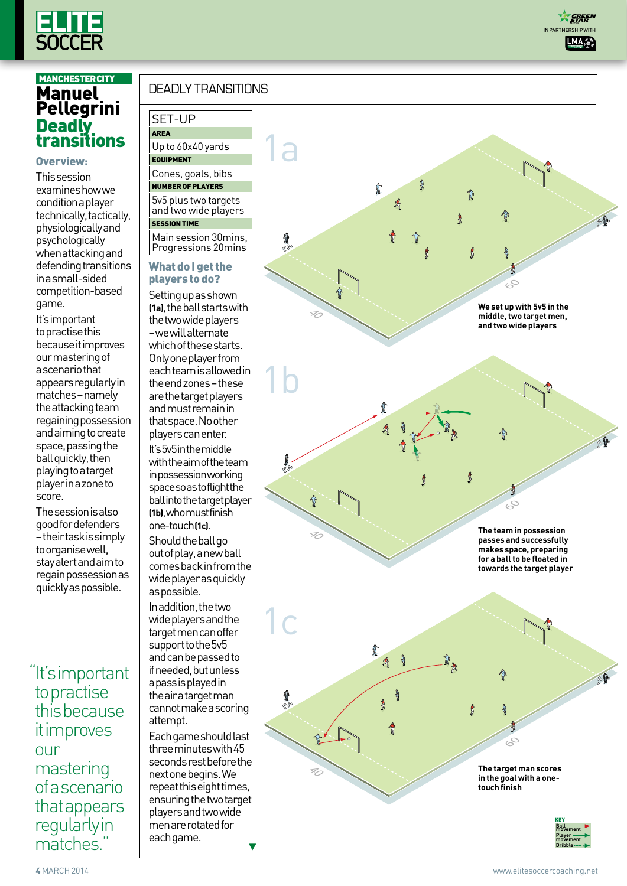

#### Overview:

This session examines how we condition a player technically, tactically, physiologically and psychologically when attacking and defending transitions in a small-sided competition-based game.

It's important to practise this because it improves our mastering of a scenario that appears regularly in matches – namely the attacking team regaining possession and aiming to create space, passing the ball quickly, then playing to a target player in a zone to score.

The session is also good for defenders – their task is simply to organise well, stay alert and aim to regain possession as quickly as possible.

"It's important to practise this because it improves our mastering of a scenario that appears **regularly** in matches."

# deadly transitions

## SET-UP Area

Up to 60x40 yards **EQUIPMENT** 

Cones, goals, bibs Number of Players 5v5 plus two targets

and two wide players **SESSION TIM** 

Main session 30mins, Progressions 20mins

#### What do I get the players to do?

Setting up as shown **(1a)**, the ball starts with the two wide players – we will alternate which of these starts. Only one player from each team is allowed in the end zones – these are the target players and must remain in that space. No other players can enter. It's 5v5 in the middle with the aim of the team in possession working space so as to flight the ball into the target player **(1b)**, who must finish

one-touch **(1c)** . Should the ball go out of play, a new ball comes back in from the wide player as quickly as possible.

In addition, the two wide players and the target men can offer support to the 5v5 and can be passed to if needed, but unless a pass is played in the air a target man cannot make a scoring attempt.

Each game should last three minutes with 45 seconds rest before the next one begins. We repeat this eight times, ensuring the two target players and two wide men are rotated for each game.



**A GREEN**